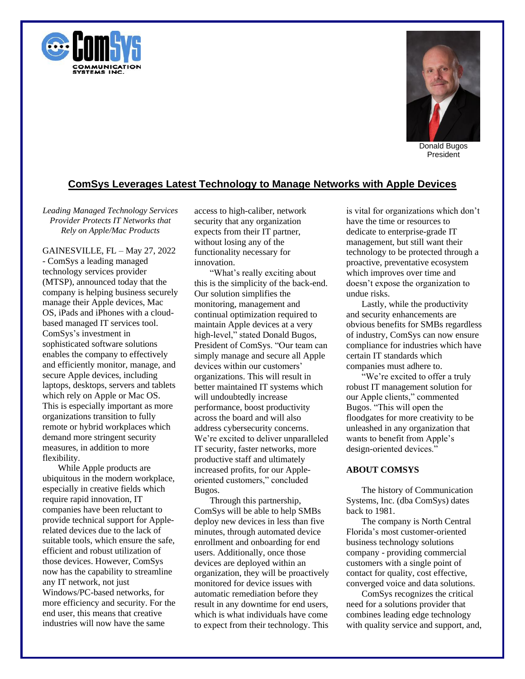



President

## **ComSys Leverages Latest Technology to Manage Networks with Apple Devices**

*Leading Managed Technology Services Provider Protects IT Networks that Rely on Apple/Mac Products*

GAINESVILLE, FL – May 27, 2022 - ComSys a leading managed technology services provider (MTSP), announced today that the company is helping business securely manage their Apple devices, Mac OS, iPads and iPhones with a cloudbased managed IT services tool. ComSys's investment in sophisticated software solutions enables the company to effectively and efficiently monitor, manage, and secure Apple devices, including laptops, desktops, servers and tablets which rely on Apple or Mac OS. This is especially important as more organizations transition to fully remote or hybrid workplaces which demand more stringent security measures, in addition to more flexibility.

While Apple products are ubiquitous in the modern workplace, especially in creative fields which require rapid innovation, IT companies have been reluctant to provide technical support for Applerelated devices due to the lack of suitable tools, which ensure the safe, efficient and robust utilization of those devices. However, ComSys now has the capability to streamline any IT network, not just Windows/PC-based networks, for more efficiency and security. For the end user, this means that creative industries will now have the same

access to high-caliber, network security that any organization expects from their IT partner, without losing any of the functionality necessary for innovation.

"What's really exciting about this is the simplicity of the back-end. Our solution simplifies the monitoring, management and continual optimization required to maintain Apple devices at a very high-level," stated Donald Bugos, President of ComSys. "Our team can simply manage and secure all Apple devices within our customers' organizations. This will result in better maintained IT systems which will undoubtedly increase performance, boost productivity across the board and will also address cybersecurity concerns. We're excited to deliver unparalleled IT security, faster networks, more productive staff and ultimately increased profits, for our Appleoriented customers," concluded Bugos.

Through this partnership, ComSys will be able to help SMBs deploy new devices in less than five minutes, through automated device enrollment and onboarding for end users. Additionally, once those devices are deployed within an organization, they will be proactively monitored for device issues with automatic remediation before they result in any downtime for end users, which is what individuals have come to expect from their technology. This

is vital for organizations which don't have the time or resources to dedicate to enterprise-grade IT management, but still want their technology to be protected through a proactive, preventative ecosystem which improves over time and doesn't expose the organization to undue risks.

Lastly, while the productivity and security enhancements are obvious benefits for SMBs regardless of industry, ComSys can now ensure compliance for industries which have certain IT standards which companies must adhere to.

"We're excited to offer a truly robust IT management solution for our Apple clients," commented Bugos. "This will open the floodgates for more creativity to be unleashed in any organization that wants to benefit from Apple's design-oriented devices."

## **ABOUT COMSYS**

The history of Communication Systems, Inc. (dba ComSys) dates back to 1981.

The company is North Central Florida's most customer‐oriented business technology solutions company - providing commercial customers with a single point of contact for quality, cost effective, converged voice and data solutions.

ComSys recognizes the critical need for a solutions provider that combines leading edge technology with quality service and support, and,